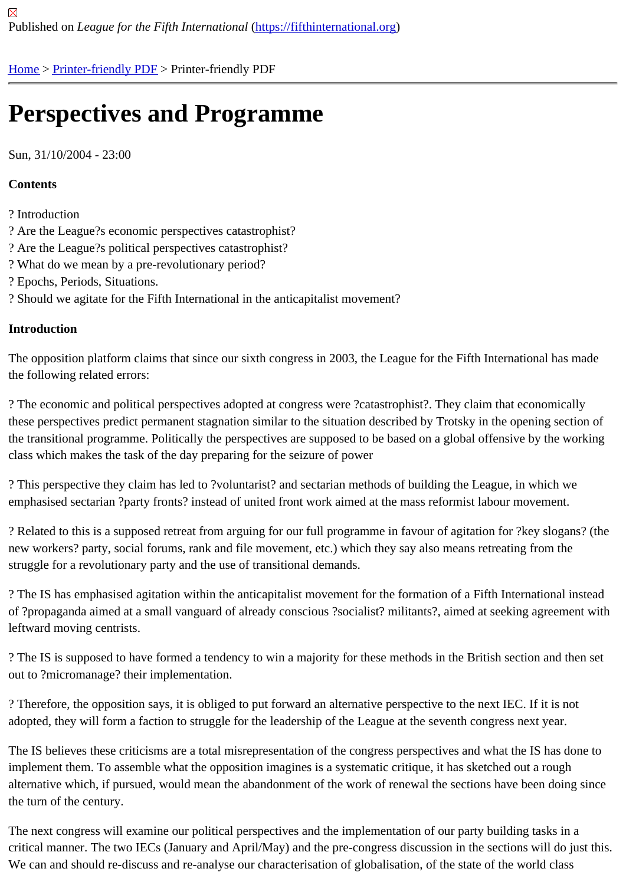# [Pe](https://fifthinternational.org/)r[spectives](https://fifthinternational.org/printpdf) and Programme

Sun, 31/10/2004 - 23:00

**Contents** 

? Introduction

- ? Are the League?s economic perspectives catastrophist?
- ? Are the League?s political perspectives catastrophist?
- ? What do we mean by a pre-revolutionary period?
- ? Epochs, Periods, Situations.
- ? Should we agitate for the Fifth International in the anticapitalist movement?

Introduction

The opposition platform claims that since our sixth congress in 2003, the League for the Fifth International has ma the following related errors:

? The economic and political perspectives adopted at congress were ?catastrophist?. They claim that economically these perspectives predict permanent stagnation similar to the situation described by Trotsky in the opening sectic the transitional programme. Politically the perspectives are supposed to be based on a global offensive by the wor class which makes the task of the day preparing for the seizure of power

? This perspective they claim has led to ?voluntarist? and sectarian methods of building the League, in which we emphasised sectarian ?party fronts? instead of united front work aimed at the mass reformist labour movement.

? Related to this is a supposed retreat from arguing for our full programme in favour of agitation for ?key slogans? new workers? party, social forums, rank and file movement, etc.) which they say also means retreating from the struggle for a revolutionary party and the use of transitional demands.

? The IS has emphasised agitation within the anticapitalist movement for the formation of a Fifth International inste of ?propaganda aimed at a small vanguard of already conscious ?socialist? militants?, aimed at seeking agreeme leftward moving centrists.

? The IS is supposed to have formed a tendency to win a majority for these methods in the British section and then out to ?micromanage? their implementation.

? Therefore, the opposition says, it is obliged to put forward an alternative perspective to the next IEC. If it is not adopted, they will form a faction to struggle for the leadership of the League at the seventh congress next year.

The IS believes these criticisms are a total misrepresentation of the congress perspectives and what the IS has do implement them. To assemble what the opposition imagines is a systematic critique, it has sketched out a rough alternative which, if pursued, would mean the abandonment of the work of renewal the sections have been doing s the turn of the century.

The next congress will examine our political perspectives and the implementation of our party building tasks in a critical manner. The two IECs (January and April/May) and the pre-congress discussion in the sections will do just We can and should re-discuss and re-analyse our characterisation of globalisation, of the state of the world class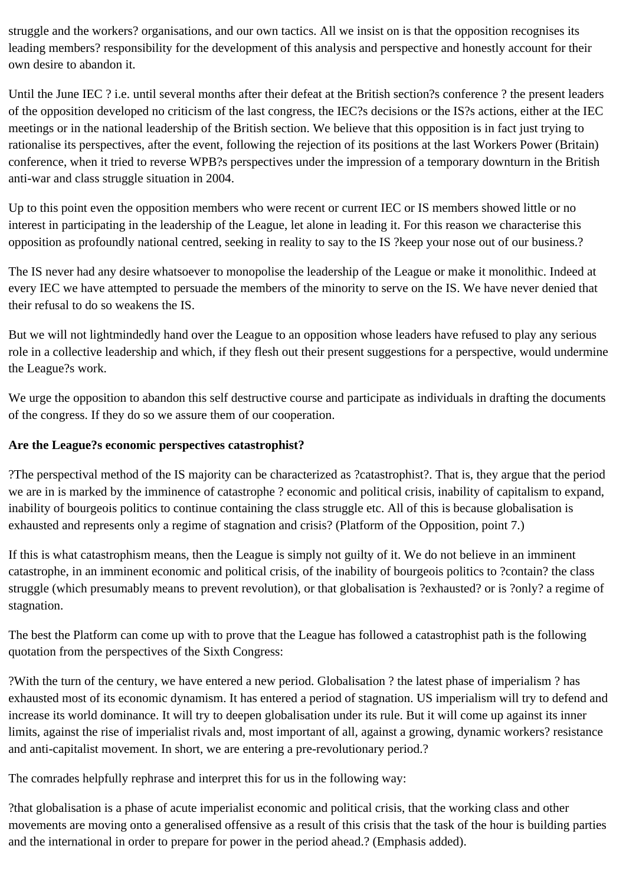struggle and the workers? organisations, and our own tactics. All we insist on is that the opposition recognises its leading members? responsibility for the development of this analysis and perspective and honestly account for their own desire to abandon it.

Until the June IEC ? i.e. until several months after their defeat at the British section?s conference ? the present leaders of the opposition developed no criticism of the last congress, the IEC?s decisions or the IS?s actions, either at the IEC meetings or in the national leadership of the British section. We believe that this opposition is in fact just trying to rationalise its perspectives, after the event, following the rejection of its positions at the last Workers Power (Britain) conference, when it tried to reverse WPB?s perspectives under the impression of a temporary downturn in the British anti-war and class struggle situation in 2004.

Up to this point even the opposition members who were recent or current IEC or IS members showed little or no interest in participating in the leadership of the League, let alone in leading it. For this reason we characterise this opposition as profoundly national centred, seeking in reality to say to the IS ?keep your nose out of our business.?

The IS never had any desire whatsoever to monopolise the leadership of the League or make it monolithic. Indeed at every IEC we have attempted to persuade the members of the minority to serve on the IS. We have never denied that their refusal to do so weakens the IS.

But we will not lightmindedly hand over the League to an opposition whose leaders have refused to play any serious role in a collective leadership and which, if they flesh out their present suggestions for a perspective, would undermine the League?s work.

We urge the opposition to abandon this self destructive course and participate as individuals in drafting the documents of the congress. If they do so we assure them of our cooperation.

# **Are the League?s economic perspectives catastrophist?**

?The perspectival method of the IS majority can be characterized as ?catastrophist?. That is, they argue that the period we are in is marked by the imminence of catastrophe ? economic and political crisis, inability of capitalism to expand, inability of bourgeois politics to continue containing the class struggle etc. All of this is because globalisation is exhausted and represents only a regime of stagnation and crisis? (Platform of the Opposition, point 7.)

If this is what catastrophism means, then the League is simply not guilty of it. We do not believe in an imminent catastrophe, in an imminent economic and political crisis, of the inability of bourgeois politics to ?contain? the class struggle (which presumably means to prevent revolution), or that globalisation is ?exhausted? or is ?only? a regime of stagnation.

The best the Platform can come up with to prove that the League has followed a catastrophist path is the following quotation from the perspectives of the Sixth Congress:

?With the turn of the century, we have entered a new period. Globalisation ? the latest phase of imperialism ? has exhausted most of its economic dynamism. It has entered a period of stagnation. US imperialism will try to defend and increase its world dominance. It will try to deepen globalisation under its rule. But it will come up against its inner limits, against the rise of imperialist rivals and, most important of all, against a growing, dynamic workers? resistance and anti-capitalist movement. In short, we are entering a pre-revolutionary period.?

The comrades helpfully rephrase and interpret this for us in the following way:

?that globalisation is a phase of acute imperialist economic and political crisis, that the working class and other movements are moving onto a generalised offensive as a result of this crisis that the task of the hour is building parties and the international in order to prepare for power in the period ahead.? (Emphasis added).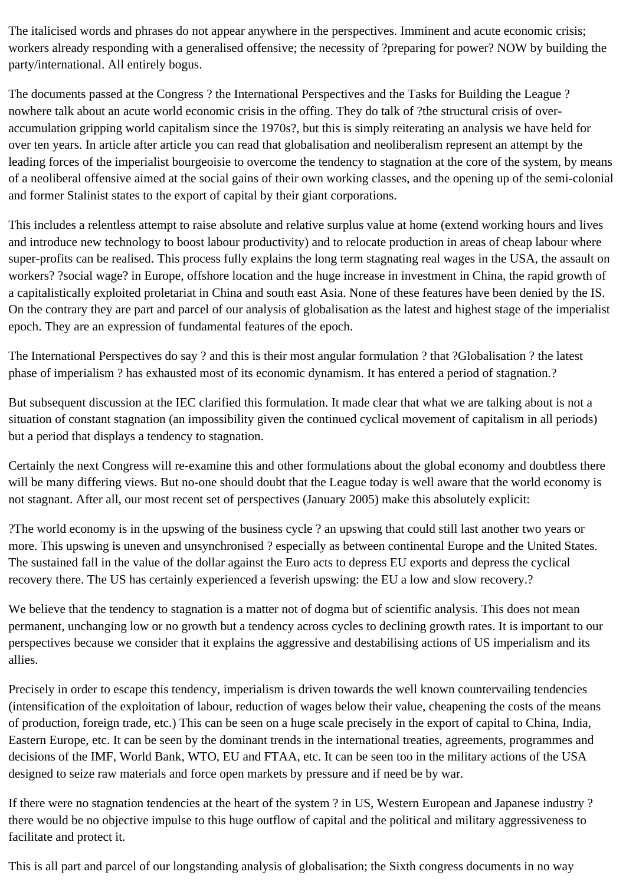The italicised words and phrases do not appear anywhere in the perspectives. Imminent and acute economic crisis; workers already responding with a generalised offensive; the necessity of ?preparing for power? NOW by building the party/international. All entirely bogus.

The documents passed at the Congress ? the International Perspectives and the Tasks for Building the League ? nowhere talk about an acute world economic crisis in the offing. They do talk of ?the structural crisis of overaccumulation gripping world capitalism since the 1970s?, but this is simply reiterating an analysis we have held for over ten years. In article after article you can read that globalisation and neoliberalism represent an attempt by the leading forces of the imperialist bourgeoisie to overcome the tendency to stagnation at the core of the system, by means of a neoliberal offensive aimed at the social gains of their own working classes, and the opening up of the semi-colonial and former Stalinist states to the export of capital by their giant corporations.

This includes a relentless attempt to raise absolute and relative surplus value at home (extend working hours and lives and introduce new technology to boost labour productivity) and to relocate production in areas of cheap labour where super-profits can be realised. This process fully explains the long term stagnating real wages in the USA, the assault on workers? ?social wage? in Europe, offshore location and the huge increase in investment in China, the rapid growth of a capitalistically exploited proletariat in China and south east Asia. None of these features have been denied by the IS. On the contrary they are part and parcel of our analysis of globalisation as the latest and highest stage of the imperialist epoch. They are an expression of fundamental features of the epoch.

The International Perspectives do say ? and this is their most angular formulation ? that ?Globalisation ? the latest phase of imperialism ? has exhausted most of its economic dynamism. It has entered a period of stagnation.?

But subsequent discussion at the IEC clarified this formulation. It made clear that what we are talking about is not a situation of constant stagnation (an impossibility given the continued cyclical movement of capitalism in all periods) but a period that displays a tendency to stagnation.

Certainly the next Congress will re-examine this and other formulations about the global economy and doubtless there will be many differing views. But no-one should doubt that the League today is well aware that the world economy is not stagnant. After all, our most recent set of perspectives (January 2005) make this absolutely explicit:

?The world economy is in the upswing of the business cycle ? an upswing that could still last another two years or more. This upswing is uneven and unsynchronised ? especially as between continental Europe and the United States. The sustained fall in the value of the dollar against the Euro acts to depress EU exports and depress the cyclical recovery there. The US has certainly experienced a feverish upswing: the EU a low and slow recovery.?

We believe that the tendency to stagnation is a matter not of dogma but of scientific analysis. This does not mean permanent, unchanging low or no growth but a tendency across cycles to declining growth rates. It is important to our perspectives because we consider that it explains the aggressive and destabilising actions of US imperialism and its allies.

Precisely in order to escape this tendency, imperialism is driven towards the well known countervailing tendencies (intensification of the exploitation of labour, reduction of wages below their value, cheapening the costs of the means of production, foreign trade, etc.) This can be seen on a huge scale precisely in the export of capital to China, India, Eastern Europe, etc. It can be seen by the dominant trends in the international treaties, agreements, programmes and decisions of the IMF, World Bank, WTO, EU and FTAA, etc. It can be seen too in the military actions of the USA designed to seize raw materials and force open markets by pressure and if need be by war.

If there were no stagnation tendencies at the heart of the system ? in US, Western European and Japanese industry ? there would be no objective impulse to this huge outflow of capital and the political and military aggressiveness to facilitate and protect it.

This is all part and parcel of our longstanding analysis of globalisation; the Sixth congress documents in no way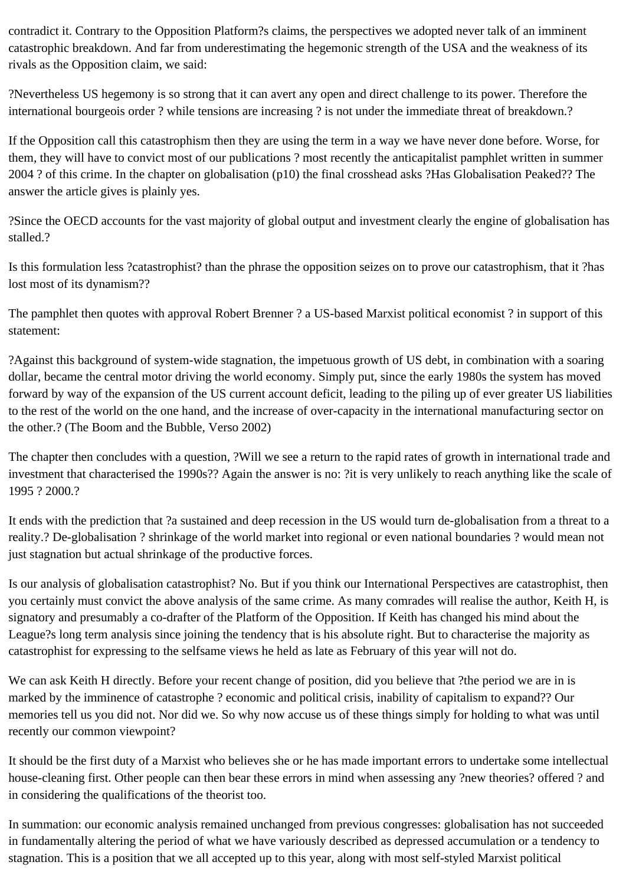contradict it. Contrary to the Opposition Platform?s claims, the perspectives we adopted never talk of an imminent catastrophic breakdown. And far from underestimating the hegemonic strength of the USA and the weakness of its rivals as the Opposition claim, we said:

?Nevertheless US hegemony is so strong that it can avert any open and direct challenge to its power. Therefore the international bourgeois order ? while tensions are increasing ? is not under the immediate threat of breakdown.?

If the Opposition call this catastrophism then they are using the term in a way we have never done before. Worse, for them, they will have to convict most of our publications ? most recently the anticapitalist pamphlet written in summer 2004 ? of this crime. In the chapter on globalisation (p10) the final crosshead asks ?Has Globalisation Peaked?? The answer the article gives is plainly yes.

?Since the OECD accounts for the vast majority of global output and investment clearly the engine of globalisation has stalled.?

Is this formulation less ?catastrophist? than the phrase the opposition seizes on to prove our catastrophism, that it ?has lost most of its dynamism??

The pamphlet then quotes with approval Robert Brenner ? a US-based Marxist political economist ? in support of this statement:

?Against this background of system-wide stagnation, the impetuous growth of US debt, in combination with a soaring dollar, became the central motor driving the world economy. Simply put, since the early 1980s the system has moved forward by way of the expansion of the US current account deficit, leading to the piling up of ever greater US liabilities to the rest of the world on the one hand, and the increase of over-capacity in the international manufacturing sector on the other.? (The Boom and the Bubble, Verso 2002)

The chapter then concludes with a question, ?Will we see a return to the rapid rates of growth in international trade and investment that characterised the 1990s?? Again the answer is no: ?it is very unlikely to reach anything like the scale of 1995 ? 2000.?

It ends with the prediction that ?a sustained and deep recession in the US would turn de-globalisation from a threat to a reality.? De-globalisation ? shrinkage of the world market into regional or even national boundaries ? would mean not just stagnation but actual shrinkage of the productive forces.

Is our analysis of globalisation catastrophist? No. But if you think our International Perspectives are catastrophist, then you certainly must convict the above analysis of the same crime. As many comrades will realise the author, Keith H, is signatory and presumably a co-drafter of the Platform of the Opposition. If Keith has changed his mind about the League?s long term analysis since joining the tendency that is his absolute right. But to characterise the majority as catastrophist for expressing to the selfsame views he held as late as February of this year will not do.

We can ask Keith H directly. Before your recent change of position, did you believe that ?the period we are in is marked by the imminence of catastrophe ? economic and political crisis, inability of capitalism to expand?? Our memories tell us you did not. Nor did we. So why now accuse us of these things simply for holding to what was until recently our common viewpoint?

It should be the first duty of a Marxist who believes she or he has made important errors to undertake some intellectual house-cleaning first. Other people can then bear these errors in mind when assessing any ?new theories? offered ? and in considering the qualifications of the theorist too.

In summation: our economic analysis remained unchanged from previous congresses: globalisation has not succeeded in fundamentally altering the period of what we have variously described as depressed accumulation or a tendency to stagnation. This is a position that we all accepted up to this year, along with most self-styled Marxist political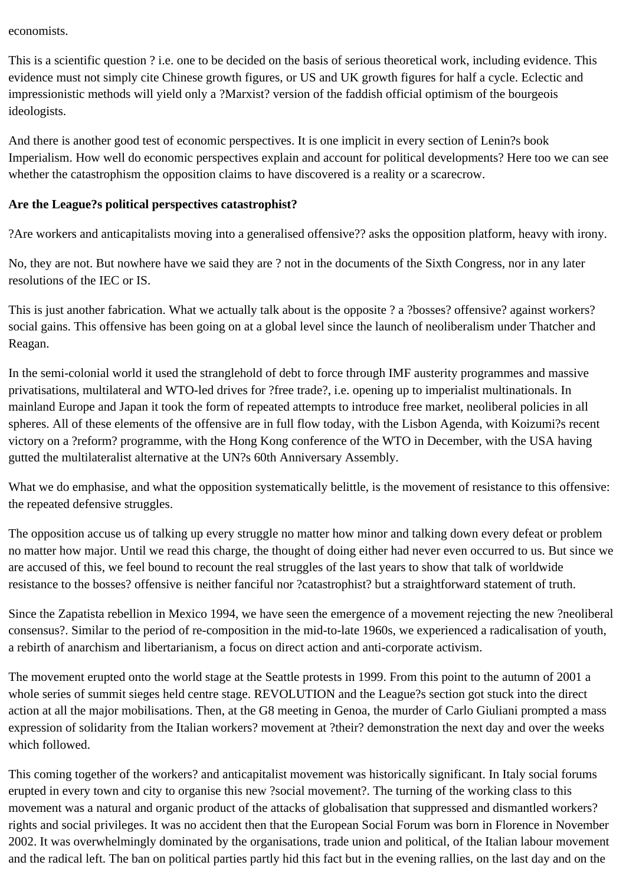#### economists.

This is a scientific question ? i.e. one to be decided on the basis of serious theoretical work, including evidence. This evidence must not simply cite Chinese growth figures, or US and UK growth figures for half a cycle. Eclectic and impressionistic methods will yield only a ?Marxist? version of the faddish official optimism of the bourgeois ideologists.

And there is another good test of economic perspectives. It is one implicit in every section of Lenin?s book Imperialism. How well do economic perspectives explain and account for political developments? Here too we can see whether the catastrophism the opposition claims to have discovered is a reality or a scarecrow.

#### **Are the League?s political perspectives catastrophist?**

?Are workers and anticapitalists moving into a generalised offensive?? asks the opposition platform, heavy with irony.

No, they are not. But nowhere have we said they are ? not in the documents of the Sixth Congress, nor in any later resolutions of the IEC or IS.

This is just another fabrication. What we actually talk about is the opposite ? a ?bosses? offensive? against workers? social gains. This offensive has been going on at a global level since the launch of neoliberalism under Thatcher and Reagan.

In the semi-colonial world it used the stranglehold of debt to force through IMF austerity programmes and massive privatisations, multilateral and WTO-led drives for ?free trade?, i.e. opening up to imperialist multinationals. In mainland Europe and Japan it took the form of repeated attempts to introduce free market, neoliberal policies in all spheres. All of these elements of the offensive are in full flow today, with the Lisbon Agenda, with Koizumi?s recent victory on a ?reform? programme, with the Hong Kong conference of the WTO in December, with the USA having gutted the multilateralist alternative at the UN?s 60th Anniversary Assembly.

What we do emphasise, and what the opposition systematically belittle, is the movement of resistance to this offensive: the repeated defensive struggles.

The opposition accuse us of talking up every struggle no matter how minor and talking down every defeat or problem no matter how major. Until we read this charge, the thought of doing either had never even occurred to us. But since we are accused of this, we feel bound to recount the real struggles of the last years to show that talk of worldwide resistance to the bosses? offensive is neither fanciful nor ?catastrophist? but a straightforward statement of truth.

Since the Zapatista rebellion in Mexico 1994, we have seen the emergence of a movement rejecting the new ?neoliberal consensus?. Similar to the period of re-composition in the mid-to-late 1960s, we experienced a radicalisation of youth, a rebirth of anarchism and libertarianism, a focus on direct action and anti-corporate activism.

The movement erupted onto the world stage at the Seattle protests in 1999. From this point to the autumn of 2001 a whole series of summit sieges held centre stage. REVOLUTION and the League?s section got stuck into the direct action at all the major mobilisations. Then, at the G8 meeting in Genoa, the murder of Carlo Giuliani prompted a mass expression of solidarity from the Italian workers? movement at ?their? demonstration the next day and over the weeks which followed.

This coming together of the workers? and anticapitalist movement was historically significant. In Italy social forums erupted in every town and city to organise this new ?social movement?. The turning of the working class to this movement was a natural and organic product of the attacks of globalisation that suppressed and dismantled workers? rights and social privileges. It was no accident then that the European Social Forum was born in Florence in November 2002. It was overwhelmingly dominated by the organisations, trade union and political, of the Italian labour movement and the radical left. The ban on political parties partly hid this fact but in the evening rallies, on the last day and on the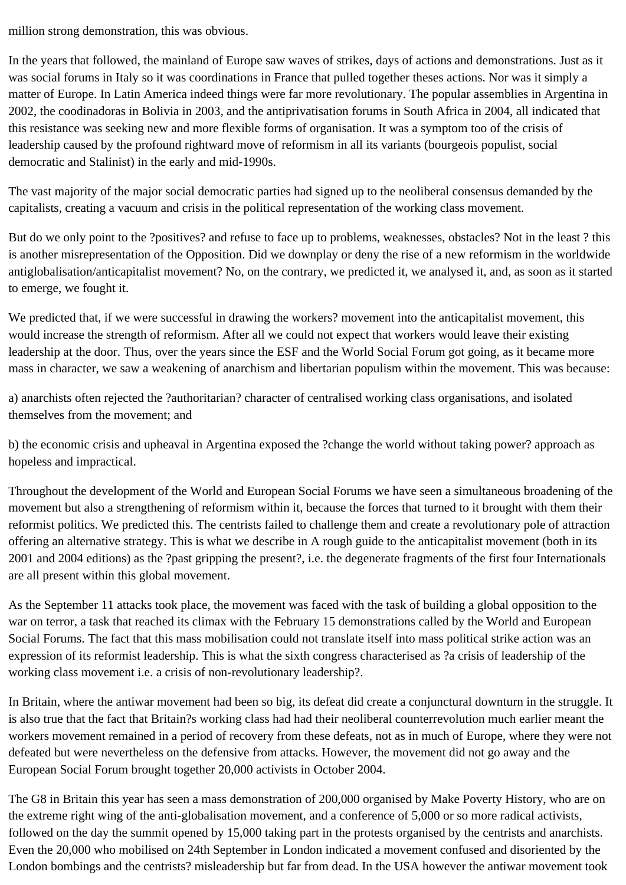million strong demonstration, this was obvious.

In the years that followed, the mainland of Europe saw waves of strikes, days of actions and demonstrations. Just as it was social forums in Italy so it was coordinations in France that pulled together theses actions. Nor was it simply a matter of Europe. In Latin America indeed things were far more revolutionary. The popular assemblies in Argentina in 2002, the coodinadoras in Bolivia in 2003, and the antiprivatisation forums in South Africa in 2004, all indicated that this resistance was seeking new and more flexible forms of organisation. It was a symptom too of the crisis of leadership caused by the profound rightward move of reformism in all its variants (bourgeois populist, social democratic and Stalinist) in the early and mid-1990s.

The vast majority of the major social democratic parties had signed up to the neoliberal consensus demanded by the capitalists, creating a vacuum and crisis in the political representation of the working class movement.

But do we only point to the ?positives? and refuse to face up to problems, weaknesses, obstacles? Not in the least ? this is another misrepresentation of the Opposition. Did we downplay or deny the rise of a new reformism in the worldwide antiglobalisation/anticapitalist movement? No, on the contrary, we predicted it, we analysed it, and, as soon as it started to emerge, we fought it.

We predicted that, if we were successful in drawing the workers? movement into the anticapitalist movement, this would increase the strength of reformism. After all we could not expect that workers would leave their existing leadership at the door. Thus, over the years since the ESF and the World Social Forum got going, as it became more mass in character, we saw a weakening of anarchism and libertarian populism within the movement. This was because:

a) anarchists often rejected the ?authoritarian? character of centralised working class organisations, and isolated themselves from the movement; and

b) the economic crisis and upheaval in Argentina exposed the ?change the world without taking power? approach as hopeless and impractical.

Throughout the development of the World and European Social Forums we have seen a simultaneous broadening of the movement but also a strengthening of reformism within it, because the forces that turned to it brought with them their reformist politics. We predicted this. The centrists failed to challenge them and create a revolutionary pole of attraction offering an alternative strategy. This is what we describe in A rough guide to the anticapitalist movement (both in its 2001 and 2004 editions) as the ?past gripping the present?, i.e. the degenerate fragments of the first four Internationals are all present within this global movement.

As the September 11 attacks took place, the movement was faced with the task of building a global opposition to the war on terror, a task that reached its climax with the February 15 demonstrations called by the World and European Social Forums. The fact that this mass mobilisation could not translate itself into mass political strike action was an expression of its reformist leadership. This is what the sixth congress characterised as ?a crisis of leadership of the working class movement i.e. a crisis of non-revolutionary leadership?.

In Britain, where the antiwar movement had been so big, its defeat did create a conjunctural downturn in the struggle. It is also true that the fact that Britain?s working class had had their neoliberal counterrevolution much earlier meant the workers movement remained in a period of recovery from these defeats, not as in much of Europe, where they were not defeated but were nevertheless on the defensive from attacks. However, the movement did not go away and the European Social Forum brought together 20,000 activists in October 2004.

The G8 in Britain this year has seen a mass demonstration of 200,000 organised by Make Poverty History, who are on the extreme right wing of the anti-globalisation movement, and a conference of 5,000 or so more radical activists, followed on the day the summit opened by 15,000 taking part in the protests organised by the centrists and anarchists. Even the 20,000 who mobilised on 24th September in London indicated a movement confused and disoriented by the London bombings and the centrists? misleadership but far from dead. In the USA however the antiwar movement took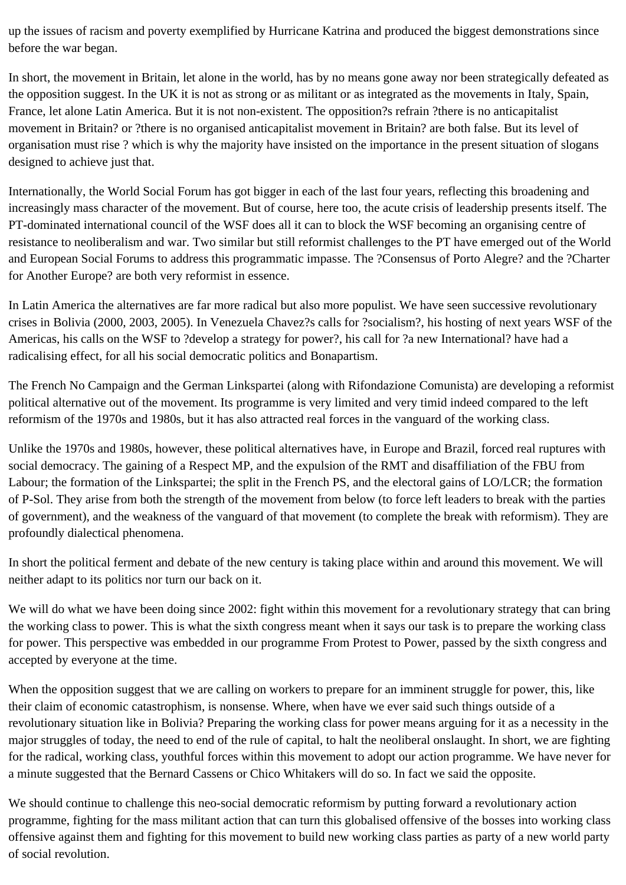up the issues of racism and poverty exemplified by Hurricane Katrina and produced the biggest demonstrations since before the war began.

In short, the movement in Britain, let alone in the world, has by no means gone away nor been strategically defeated as the opposition suggest. In the UK it is not as strong or as militant or as integrated as the movements in Italy, Spain, France, let alone Latin America. But it is not non-existent. The opposition?s refrain ?there is no anticapitalist movement in Britain? or ?there is no organised anticapitalist movement in Britain? are both false. But its level of organisation must rise ? which is why the majority have insisted on the importance in the present situation of slogans designed to achieve just that.

Internationally, the World Social Forum has got bigger in each of the last four years, reflecting this broadening and increasingly mass character of the movement. But of course, here too, the acute crisis of leadership presents itself. The PT-dominated international council of the WSF does all it can to block the WSF becoming an organising centre of resistance to neoliberalism and war. Two similar but still reformist challenges to the PT have emerged out of the World and European Social Forums to address this programmatic impasse. The ?Consensus of Porto Alegre? and the ?Charter for Another Europe? are both very reformist in essence.

In Latin America the alternatives are far more radical but also more populist. We have seen successive revolutionary crises in Bolivia (2000, 2003, 2005). In Venezuela Chavez?s calls for ?socialism?, his hosting of next years WSF of the Americas, his calls on the WSF to ?develop a strategy for power?, his call for ?a new International? have had a radicalising effect, for all his social democratic politics and Bonapartism.

The French No Campaign and the German Linkspartei (along with Rifondazione Comunista) are developing a reformist political alternative out of the movement. Its programme is very limited and very timid indeed compared to the left reformism of the 1970s and 1980s, but it has also attracted real forces in the vanguard of the working class.

Unlike the 1970s and 1980s, however, these political alternatives have, in Europe and Brazil, forced real ruptures with social democracy. The gaining of a Respect MP, and the expulsion of the RMT and disaffiliation of the FBU from Labour; the formation of the Linkspartei; the split in the French PS, and the electoral gains of LO/LCR; the formation of P-Sol. They arise from both the strength of the movement from below (to force left leaders to break with the parties of government), and the weakness of the vanguard of that movement (to complete the break with reformism). They are profoundly dialectical phenomena.

In short the political ferment and debate of the new century is taking place within and around this movement. We will neither adapt to its politics nor turn our back on it.

We will do what we have been doing since 2002: fight within this movement for a revolutionary strategy that can bring the working class to power. This is what the sixth congress meant when it says our task is to prepare the working class for power. This perspective was embedded in our programme From Protest to Power, passed by the sixth congress and accepted by everyone at the time.

When the opposition suggest that we are calling on workers to prepare for an imminent struggle for power, this, like their claim of economic catastrophism, is nonsense. Where, when have we ever said such things outside of a revolutionary situation like in Bolivia? Preparing the working class for power means arguing for it as a necessity in the major struggles of today, the need to end of the rule of capital, to halt the neoliberal onslaught. In short, we are fighting for the radical, working class, youthful forces within this movement to adopt our action programme. We have never for a minute suggested that the Bernard Cassens or Chico Whitakers will do so. In fact we said the opposite.

We should continue to challenge this neo-social democratic reformism by putting forward a revolutionary action programme, fighting for the mass militant action that can turn this globalised offensive of the bosses into working class offensive against them and fighting for this movement to build new working class parties as party of a new world party of social revolution.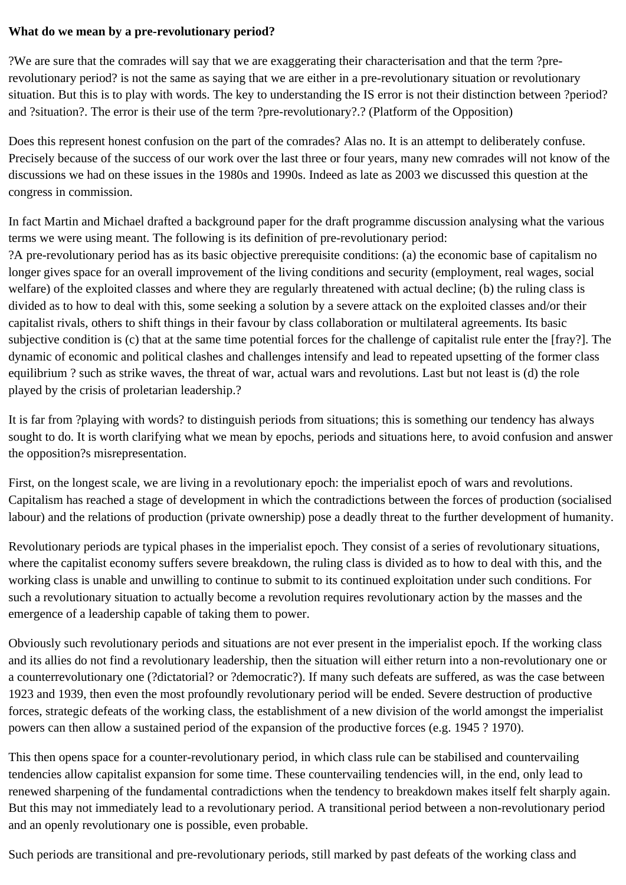#### **What do we mean by a pre-revolutionary period?**

?We are sure that the comrades will say that we are exaggerating their characterisation and that the term ?prerevolutionary period? is not the same as saying that we are either in a pre-revolutionary situation or revolutionary situation. But this is to play with words. The key to understanding the IS error is not their distinction between ?period? and ?situation?. The error is their use of the term ?pre-revolutionary?.? (Platform of the Opposition)

Does this represent honest confusion on the part of the comrades? Alas no. It is an attempt to deliberately confuse. Precisely because of the success of our work over the last three or four years, many new comrades will not know of the discussions we had on these issues in the 1980s and 1990s. Indeed as late as 2003 we discussed this question at the congress in commission.

In fact Martin and Michael drafted a background paper for the draft programme discussion analysing what the various terms we were using meant. The following is its definition of pre-revolutionary period: ?A pre-revolutionary period has as its basic objective prerequisite conditions: (a) the economic base of capitalism no longer gives space for an overall improvement of the living conditions and security (employment, real wages, social welfare) of the exploited classes and where they are regularly threatened with actual decline; (b) the ruling class is divided as to how to deal with this, some seeking a solution by a severe attack on the exploited classes and/or their capitalist rivals, others to shift things in their favour by class collaboration or multilateral agreements. Its basic subjective condition is (c) that at the same time potential forces for the challenge of capitalist rule enter the [fray?]. The dynamic of economic and political clashes and challenges intensify and lead to repeated upsetting of the former class equilibrium ? such as strike waves, the threat of war, actual wars and revolutions. Last but not least is (d) the role played by the crisis of proletarian leadership.?

It is far from ?playing with words? to distinguish periods from situations; this is something our tendency has always sought to do. It is worth clarifying what we mean by epochs, periods and situations here, to avoid confusion and answer the opposition?s misrepresentation.

First, on the longest scale, we are living in a revolutionary epoch: the imperialist epoch of wars and revolutions. Capitalism has reached a stage of development in which the contradictions between the forces of production (socialised labour) and the relations of production (private ownership) pose a deadly threat to the further development of humanity.

Revolutionary periods are typical phases in the imperialist epoch. They consist of a series of revolutionary situations, where the capitalist economy suffers severe breakdown, the ruling class is divided as to how to deal with this, and the working class is unable and unwilling to continue to submit to its continued exploitation under such conditions. For such a revolutionary situation to actually become a revolution requires revolutionary action by the masses and the emergence of a leadership capable of taking them to power.

Obviously such revolutionary periods and situations are not ever present in the imperialist epoch. If the working class and its allies do not find a revolutionary leadership, then the situation will either return into a non-revolutionary one or a counterrevolutionary one (?dictatorial? or ?democratic?). If many such defeats are suffered, as was the case between 1923 and 1939, then even the most profoundly revolutionary period will be ended. Severe destruction of productive forces, strategic defeats of the working class, the establishment of a new division of the world amongst the imperialist powers can then allow a sustained period of the expansion of the productive forces (e.g. 1945 ? 1970).

This then opens space for a counter-revolutionary period, in which class rule can be stabilised and countervailing tendencies allow capitalist expansion for some time. These countervailing tendencies will, in the end, only lead to renewed sharpening of the fundamental contradictions when the tendency to breakdown makes itself felt sharply again. But this may not immediately lead to a revolutionary period. A transitional period between a non-revolutionary period and an openly revolutionary one is possible, even probable.

Such periods are transitional and pre-revolutionary periods, still marked by past defeats of the working class and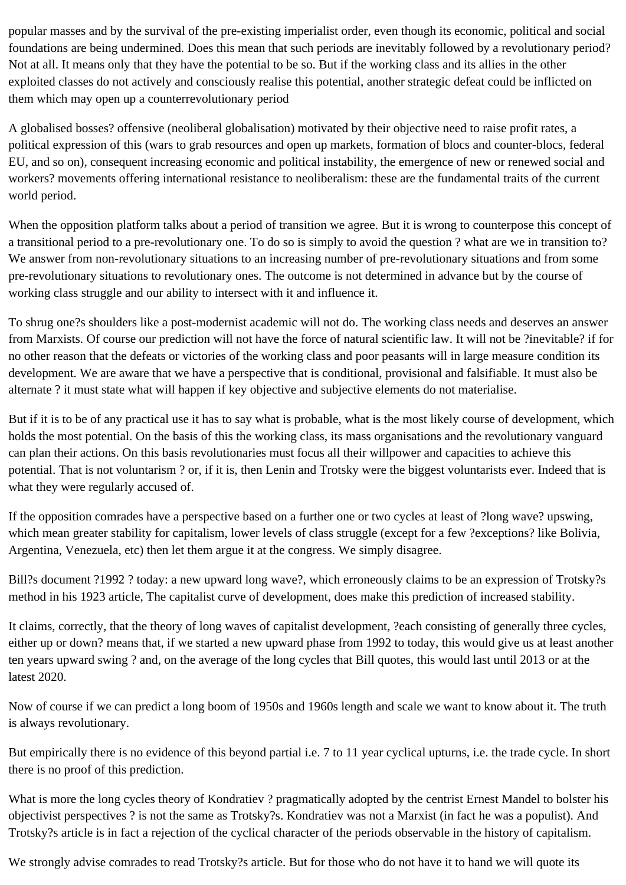popular masses and by the survival of the pre-existing imperialist order, even though its economic, political and social foundations are being undermined. Does this mean that such periods are inevitably followed by a revolutionary period? Not at all. It means only that they have the potential to be so. But if the working class and its allies in the other exploited classes do not actively and consciously realise this potential, another strategic defeat could be inflicted on them which may open up a counterrevolutionary period

A globalised bosses? offensive (neoliberal globalisation) motivated by their objective need to raise profit rates, a political expression of this (wars to grab resources and open up markets, formation of blocs and counter-blocs, federal EU, and so on), consequent increasing economic and political instability, the emergence of new or renewed social and workers? movements offering international resistance to neoliberalism: these are the fundamental traits of the current world period.

When the opposition platform talks about a period of transition we agree. But it is wrong to counterpose this concept of a transitional period to a pre-revolutionary one. To do so is simply to avoid the question ? what are we in transition to? We answer from non-revolutionary situations to an increasing number of pre-revolutionary situations and from some pre-revolutionary situations to revolutionary ones. The outcome is not determined in advance but by the course of working class struggle and our ability to intersect with it and influence it.

To shrug one?s shoulders like a post-modernist academic will not do. The working class needs and deserves an answer from Marxists. Of course our prediction will not have the force of natural scientific law. It will not be ?inevitable? if for no other reason that the defeats or victories of the working class and poor peasants will in large measure condition its development. We are aware that we have a perspective that is conditional, provisional and falsifiable. It must also be alternate ? it must state what will happen if key objective and subjective elements do not materialise.

But if it is to be of any practical use it has to say what is probable, what is the most likely course of development, which holds the most potential. On the basis of this the working class, its mass organisations and the revolutionary vanguard can plan their actions. On this basis revolutionaries must focus all their willpower and capacities to achieve this potential. That is not voluntarism ? or, if it is, then Lenin and Trotsky were the biggest voluntarists ever. Indeed that is what they were regularly accused of.

If the opposition comrades have a perspective based on a further one or two cycles at least of ?long wave? upswing, which mean greater stability for capitalism, lower levels of class struggle (except for a few ?exceptions? like Bolivia, Argentina, Venezuela, etc) then let them argue it at the congress. We simply disagree.

Bill?s document ?1992 ? today: a new upward long wave?, which erroneously claims to be an expression of Trotsky?s method in his 1923 article, The capitalist curve of development, does make this prediction of increased stability.

It claims, correctly, that the theory of long waves of capitalist development, ?each consisting of generally three cycles, either up or down? means that, if we started a new upward phase from 1992 to today, this would give us at least another ten years upward swing ? and, on the average of the long cycles that Bill quotes, this would last until 2013 or at the latest 2020.

Now of course if we can predict a long boom of 1950s and 1960s length and scale we want to know about it. The truth is always revolutionary.

But empirically there is no evidence of this beyond partial i.e. 7 to 11 year cyclical upturns, i.e. the trade cycle. In short there is no proof of this prediction.

What is more the long cycles theory of Kondratiev ? pragmatically adopted by the centrist Ernest Mandel to bolster his objectivist perspectives ? is not the same as Trotsky?s. Kondratiev was not a Marxist (in fact he was a populist). And Trotsky?s article is in fact a rejection of the cyclical character of the periods observable in the history of capitalism.

We strongly advise comrades to read Trotsky?s article. But for those who do not have it to hand we will quote its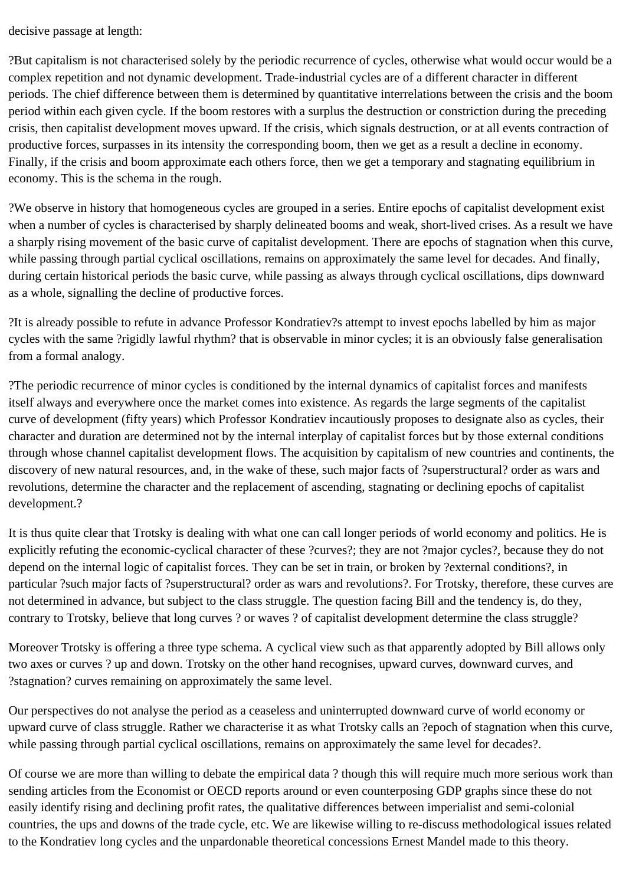decisive passage at length:

?But capitalism is not characterised solely by the periodic recurrence of cycles, otherwise what would occur would be a complex repetition and not dynamic development. Trade-industrial cycles are of a different character in different periods. The chief difference between them is determined by quantitative interrelations between the crisis and the boom period within each given cycle. If the boom restores with a surplus the destruction or constriction during the preceding crisis, then capitalist development moves upward. If the crisis, which signals destruction, or at all events contraction of productive forces, surpasses in its intensity the corresponding boom, then we get as a result a decline in economy. Finally, if the crisis and boom approximate each others force, then we get a temporary and stagnating equilibrium in economy. This is the schema in the rough.

?We observe in history that homogeneous cycles are grouped in a series. Entire epochs of capitalist development exist when a number of cycles is characterised by sharply delineated booms and weak, short-lived crises. As a result we have a sharply rising movement of the basic curve of capitalist development. There are epochs of stagnation when this curve, while passing through partial cyclical oscillations, remains on approximately the same level for decades. And finally, during certain historical periods the basic curve, while passing as always through cyclical oscillations, dips downward as a whole, signalling the decline of productive forces.

?It is already possible to refute in advance Professor Kondratiev?s attempt to invest epochs labelled by him as major cycles with the same ?rigidly lawful rhythm? that is observable in minor cycles; it is an obviously false generalisation from a formal analogy.

?The periodic recurrence of minor cycles is conditioned by the internal dynamics of capitalist forces and manifests itself always and everywhere once the market comes into existence. As regards the large segments of the capitalist curve of development (fifty years) which Professor Kondratiev incautiously proposes to designate also as cycles, their character and duration are determined not by the internal interplay of capitalist forces but by those external conditions through whose channel capitalist development flows. The acquisition by capitalism of new countries and continents, the discovery of new natural resources, and, in the wake of these, such major facts of ?superstructural? order as wars and revolutions, determine the character and the replacement of ascending, stagnating or declining epochs of capitalist development.?

It is thus quite clear that Trotsky is dealing with what one can call longer periods of world economy and politics. He is explicitly refuting the economic-cyclical character of these ?curves?; they are not ?major cycles?, because they do not depend on the internal logic of capitalist forces. They can be set in train, or broken by ?external conditions?, in particular ?such major facts of ?superstructural? order as wars and revolutions?. For Trotsky, therefore, these curves are not determined in advance, but subject to the class struggle. The question facing Bill and the tendency is, do they, contrary to Trotsky, believe that long curves ? or waves ? of capitalist development determine the class struggle?

Moreover Trotsky is offering a three type schema. A cyclical view such as that apparently adopted by Bill allows only two axes or curves ? up and down. Trotsky on the other hand recognises, upward curves, downward curves, and ?stagnation? curves remaining on approximately the same level.

Our perspectives do not analyse the period as a ceaseless and uninterrupted downward curve of world economy or upward curve of class struggle. Rather we characterise it as what Trotsky calls an ?epoch of stagnation when this curve, while passing through partial cyclical oscillations, remains on approximately the same level for decades?.

Of course we are more than willing to debate the empirical data ? though this will require much more serious work than sending articles from the Economist or OECD reports around or even counterposing GDP graphs since these do not easily identify rising and declining profit rates, the qualitative differences between imperialist and semi-colonial countries, the ups and downs of the trade cycle, etc. We are likewise willing to re-discuss methodological issues related to the Kondratiev long cycles and the unpardonable theoretical concessions Ernest Mandel made to this theory.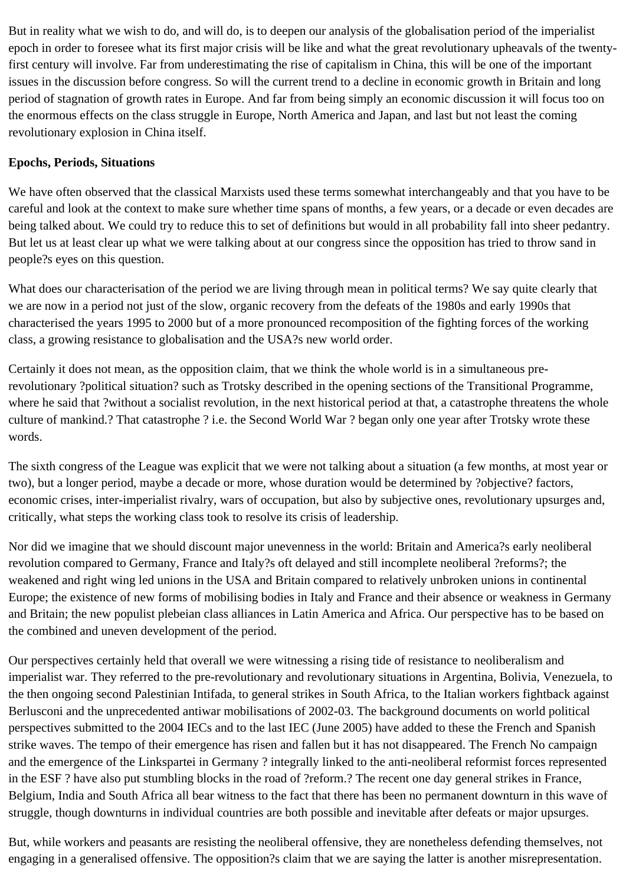But in reality what we wish to do, and will do, is to deepen our analysis of the globalisation period of the imperialist epoch in order to foresee what its first major crisis will be like and what the great revolutionary upheavals of the twentyfirst century will involve. Far from underestimating the rise of capitalism in China, this will be one of the important issues in the discussion before congress. So will the current trend to a decline in economic growth in Britain and long period of stagnation of growth rates in Europe. And far from being simply an economic discussion it will focus too on the enormous effects on the class struggle in Europe, North America and Japan, and last but not least the coming revolutionary explosion in China itself.

# **Epochs, Periods, Situations**

We have often observed that the classical Marxists used these terms somewhat interchangeably and that you have to be careful and look at the context to make sure whether time spans of months, a few years, or a decade or even decades are being talked about. We could try to reduce this to set of definitions but would in all probability fall into sheer pedantry. But let us at least clear up what we were talking about at our congress since the opposition has tried to throw sand in people?s eyes on this question.

What does our characterisation of the period we are living through mean in political terms? We say quite clearly that we are now in a period not just of the slow, organic recovery from the defeats of the 1980s and early 1990s that characterised the years 1995 to 2000 but of a more pronounced recomposition of the fighting forces of the working class, a growing resistance to globalisation and the USA?s new world order.

Certainly it does not mean, as the opposition claim, that we think the whole world is in a simultaneous prerevolutionary ?political situation? such as Trotsky described in the opening sections of the Transitional Programme, where he said that ?without a socialist revolution, in the next historical period at that, a catastrophe threatens the whole culture of mankind.? That catastrophe ? i.e. the Second World War ? began only one year after Trotsky wrote these words.

The sixth congress of the League was explicit that we were not talking about a situation (a few months, at most year or two), but a longer period, maybe a decade or more, whose duration would be determined by ?objective? factors, economic crises, inter-imperialist rivalry, wars of occupation, but also by subjective ones, revolutionary upsurges and, critically, what steps the working class took to resolve its crisis of leadership.

Nor did we imagine that we should discount major unevenness in the world: Britain and America?s early neoliberal revolution compared to Germany, France and Italy?s oft delayed and still incomplete neoliberal ?reforms?; the weakened and right wing led unions in the USA and Britain compared to relatively unbroken unions in continental Europe; the existence of new forms of mobilising bodies in Italy and France and their absence or weakness in Germany and Britain; the new populist plebeian class alliances in Latin America and Africa. Our perspective has to be based on the combined and uneven development of the period.

Our perspectives certainly held that overall we were witnessing a rising tide of resistance to neoliberalism and imperialist war. They referred to the pre-revolutionary and revolutionary situations in Argentina, Bolivia, Venezuela, to the then ongoing second Palestinian Intifada, to general strikes in South Africa, to the Italian workers fightback against Berlusconi and the unprecedented antiwar mobilisations of 2002-03. The background documents on world political perspectives submitted to the 2004 IECs and to the last IEC (June 2005) have added to these the French and Spanish strike waves. The tempo of their emergence has risen and fallen but it has not disappeared. The French No campaign and the emergence of the Linkspartei in Germany ? integrally linked to the anti-neoliberal reformist forces represented in the ESF ? have also put stumbling blocks in the road of ?reform.? The recent one day general strikes in France, Belgium, India and South Africa all bear witness to the fact that there has been no permanent downturn in this wave of struggle, though downturns in individual countries are both possible and inevitable after defeats or major upsurges.

But, while workers and peasants are resisting the neoliberal offensive, they are nonetheless defending themselves, not engaging in a generalised offensive. The opposition?s claim that we are saying the latter is another misrepresentation.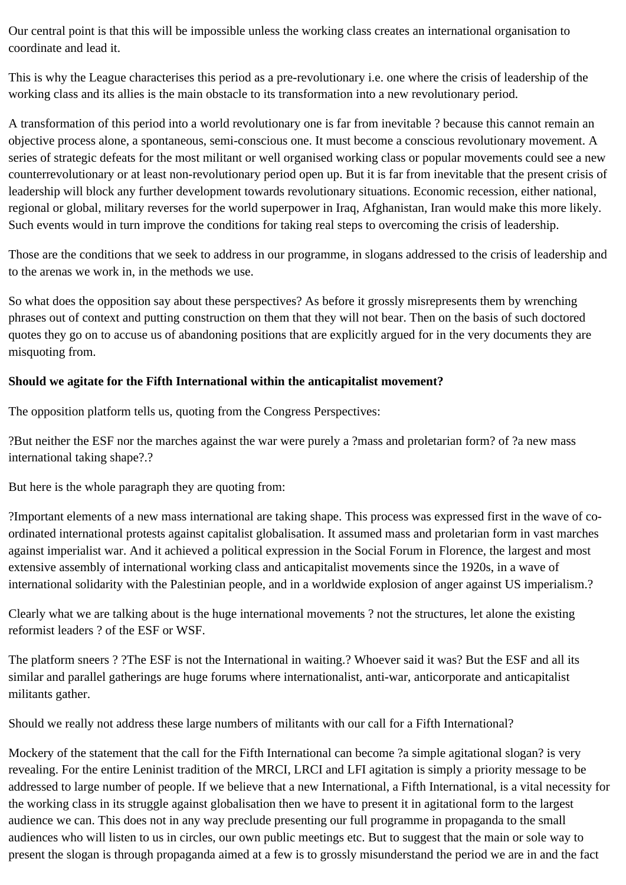Our central point is that this will be impossible unless the working class creates an international organisation to coordinate and lead it.

This is why the League characterises this period as a pre-revolutionary i.e. one where the crisis of leadership of the working class and its allies is the main obstacle to its transformation into a new revolutionary period.

A transformation of this period into a world revolutionary one is far from inevitable ? because this cannot remain an objective process alone, a spontaneous, semi-conscious one. It must become a conscious revolutionary movement. A series of strategic defeats for the most militant or well organised working class or popular movements could see a new counterrevolutionary or at least non-revolutionary period open up. But it is far from inevitable that the present crisis of leadership will block any further development towards revolutionary situations. Economic recession, either national, regional or global, military reverses for the world superpower in Iraq, Afghanistan, Iran would make this more likely. Such events would in turn improve the conditions for taking real steps to overcoming the crisis of leadership.

Those are the conditions that we seek to address in our programme, in slogans addressed to the crisis of leadership and to the arenas we work in, in the methods we use.

So what does the opposition say about these perspectives? As before it grossly misrepresents them by wrenching phrases out of context and putting construction on them that they will not bear. Then on the basis of such doctored quotes they go on to accuse us of abandoning positions that are explicitly argued for in the very documents they are misquoting from.

### **Should we agitate for the Fifth International within the anticapitalist movement?**

The opposition platform tells us, quoting from the Congress Perspectives:

?But neither the ESF nor the marches against the war were purely a ?mass and proletarian form? of ?a new mass international taking shape?.?

But here is the whole paragraph they are quoting from:

?Important elements of a new mass international are taking shape. This process was expressed first in the wave of coordinated international protests against capitalist globalisation. It assumed mass and proletarian form in vast marches against imperialist war. And it achieved a political expression in the Social Forum in Florence, the largest and most extensive assembly of international working class and anticapitalist movements since the 1920s, in a wave of international solidarity with the Palestinian people, and in a worldwide explosion of anger against US imperialism.?

Clearly what we are talking about is the huge international movements ? not the structures, let alone the existing reformist leaders ? of the ESF or WSF.

The platform sneers ? ?The ESF is not the International in waiting.? Whoever said it was? But the ESF and all its similar and parallel gatherings are huge forums where internationalist, anti-war, anticorporate and anticapitalist militants gather.

Should we really not address these large numbers of militants with our call for a Fifth International?

Mockery of the statement that the call for the Fifth International can become ?a simple agitational slogan? is very revealing. For the entire Leninist tradition of the MRCI, LRCI and LFI agitation is simply a priority message to be addressed to large number of people. If we believe that a new International, a Fifth International, is a vital necessity for the working class in its struggle against globalisation then we have to present it in agitational form to the largest audience we can. This does not in any way preclude presenting our full programme in propaganda to the small audiences who will listen to us in circles, our own public meetings etc. But to suggest that the main or sole way to present the slogan is through propaganda aimed at a few is to grossly misunderstand the period we are in and the fact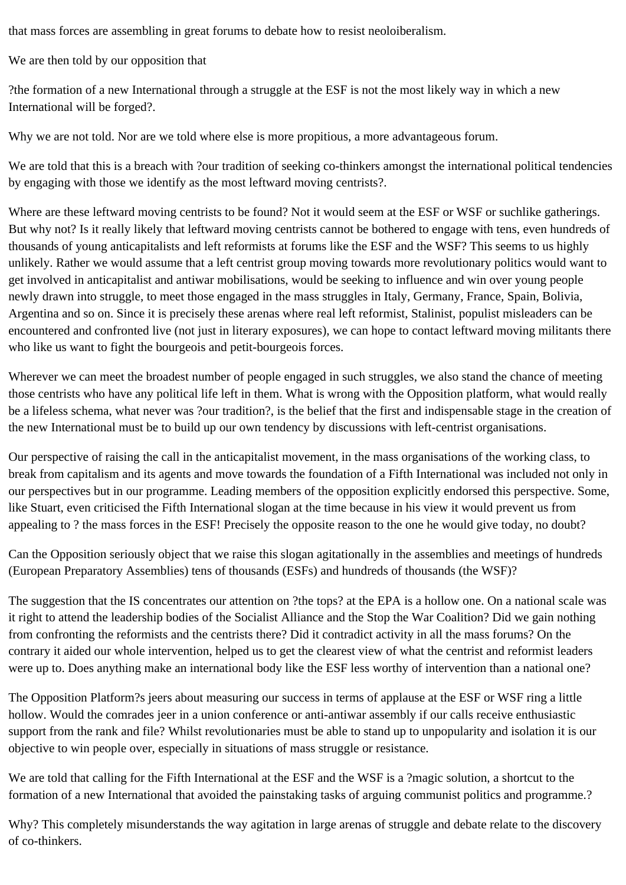that mass forces are assembling in great forums to debate how to resist neoloiberalism.

We are then told by our opposition that

?the formation of a new International through a struggle at the ESF is not the most likely way in which a new International will be forged?.

Why we are not told. Nor are we told where else is more propitious, a more advantageous forum.

We are told that this is a breach with ?our tradition of seeking co-thinkers amongst the international political tendencies by engaging with those we identify as the most leftward moving centrists?.

Where are these leftward moving centrists to be found? Not it would seem at the ESF or WSF or suchlike gatherings. But why not? Is it really likely that leftward moving centrists cannot be bothered to engage with tens, even hundreds of thousands of young anticapitalists and left reformists at forums like the ESF and the WSF? This seems to us highly unlikely. Rather we would assume that a left centrist group moving towards more revolutionary politics would want to get involved in anticapitalist and antiwar mobilisations, would be seeking to influence and win over young people newly drawn into struggle, to meet those engaged in the mass struggles in Italy, Germany, France, Spain, Bolivia, Argentina and so on. Since it is precisely these arenas where real left reformist, Stalinist, populist misleaders can be encountered and confronted live (not just in literary exposures), we can hope to contact leftward moving militants there who like us want to fight the bourgeois and petit-bourgeois forces.

Wherever we can meet the broadest number of people engaged in such struggles, we also stand the chance of meeting those centrists who have any political life left in them. What is wrong with the Opposition platform, what would really be a lifeless schema, what never was ?our tradition?, is the belief that the first and indispensable stage in the creation of the new International must be to build up our own tendency by discussions with left-centrist organisations.

Our perspective of raising the call in the anticapitalist movement, in the mass organisations of the working class, to break from capitalism and its agents and move towards the foundation of a Fifth International was included not only in our perspectives but in our programme. Leading members of the opposition explicitly endorsed this perspective. Some, like Stuart, even criticised the Fifth International slogan at the time because in his view it would prevent us from appealing to ? the mass forces in the ESF! Precisely the opposite reason to the one he would give today, no doubt?

Can the Opposition seriously object that we raise this slogan agitationally in the assemblies and meetings of hundreds (European Preparatory Assemblies) tens of thousands (ESFs) and hundreds of thousands (the WSF)?

The suggestion that the IS concentrates our attention on ?the tops? at the EPA is a hollow one. On a national scale was it right to attend the leadership bodies of the Socialist Alliance and the Stop the War Coalition? Did we gain nothing from confronting the reformists and the centrists there? Did it contradict activity in all the mass forums? On the contrary it aided our whole intervention, helped us to get the clearest view of what the centrist and reformist leaders were up to. Does anything make an international body like the ESF less worthy of intervention than a national one?

The Opposition Platform?s jeers about measuring our success in terms of applause at the ESF or WSF ring a little hollow. Would the comrades jeer in a union conference or anti-antiwar assembly if our calls receive enthusiastic support from the rank and file? Whilst revolutionaries must be able to stand up to unpopularity and isolation it is our objective to win people over, especially in situations of mass struggle or resistance.

We are told that calling for the Fifth International at the ESF and the WSF is a ?magic solution, a shortcut to the formation of a new International that avoided the painstaking tasks of arguing communist politics and programme.?

Why? This completely misunderstands the way agitation in large arenas of struggle and debate relate to the discovery of co-thinkers.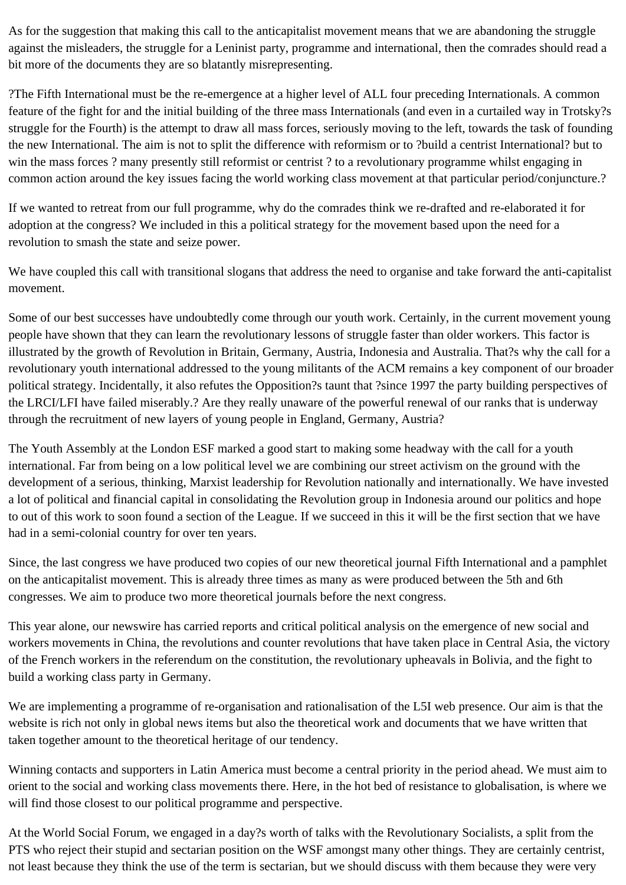As for the suggestion that making this call to the anticapitalist movement means that we are abandoning the struggle against the misleaders, the struggle for a Leninist party, programme and international, then the comrades should read a bit more of the documents they are so blatantly misrepresenting.

?The Fifth International must be the re-emergence at a higher level of ALL four preceding Internationals. A common feature of the fight for and the initial building of the three mass Internationals (and even in a curtailed way in Trotsky?s struggle for the Fourth) is the attempt to draw all mass forces, seriously moving to the left, towards the task of founding the new International. The aim is not to split the difference with reformism or to ?build a centrist International? but to win the mass forces ? many presently still reformist or centrist ? to a revolutionary programme whilst engaging in common action around the key issues facing the world working class movement at that particular period/conjuncture.?

If we wanted to retreat from our full programme, why do the comrades think we re-drafted and re-elaborated it for adoption at the congress? We included in this a political strategy for the movement based upon the need for a revolution to smash the state and seize power.

We have coupled this call with transitional slogans that address the need to organise and take forward the anti-capitalist movement.

Some of our best successes have undoubtedly come through our youth work. Certainly, in the current movement young people have shown that they can learn the revolutionary lessons of struggle faster than older workers. This factor is illustrated by the growth of Revolution in Britain, Germany, Austria, Indonesia and Australia. That?s why the call for a revolutionary youth international addressed to the young militants of the ACM remains a key component of our broader political strategy. Incidentally, it also refutes the Opposition?s taunt that ?since 1997 the party building perspectives of the LRCI/LFI have failed miserably.? Are they really unaware of the powerful renewal of our ranks that is underway through the recruitment of new layers of young people in England, Germany, Austria?

The Youth Assembly at the London ESF marked a good start to making some headway with the call for a youth international. Far from being on a low political level we are combining our street activism on the ground with the development of a serious, thinking, Marxist leadership for Revolution nationally and internationally. We have invested a lot of political and financial capital in consolidating the Revolution group in Indonesia around our politics and hope to out of this work to soon found a section of the League. If we succeed in this it will be the first section that we have had in a semi-colonial country for over ten years.

Since, the last congress we have produced two copies of our new theoretical journal Fifth International and a pamphlet on the anticapitalist movement. This is already three times as many as were produced between the 5th and 6th congresses. We aim to produce two more theoretical journals before the next congress.

This year alone, our newswire has carried reports and critical political analysis on the emergence of new social and workers movements in China, the revolutions and counter revolutions that have taken place in Central Asia, the victory of the French workers in the referendum on the constitution, the revolutionary upheavals in Bolivia, and the fight to build a working class party in Germany.

We are implementing a programme of re-organisation and rationalisation of the L5I web presence. Our aim is that the website is rich not only in global news items but also the theoretical work and documents that we have written that taken together amount to the theoretical heritage of our tendency.

Winning contacts and supporters in Latin America must become a central priority in the period ahead. We must aim to orient to the social and working class movements there. Here, in the hot bed of resistance to globalisation, is where we will find those closest to our political programme and perspective.

At the World Social Forum, we engaged in a day?s worth of talks with the Revolutionary Socialists, a split from the PTS who reject their stupid and sectarian position on the WSF amongst many other things. They are certainly centrist, not least because they think the use of the term is sectarian, but we should discuss with them because they were very